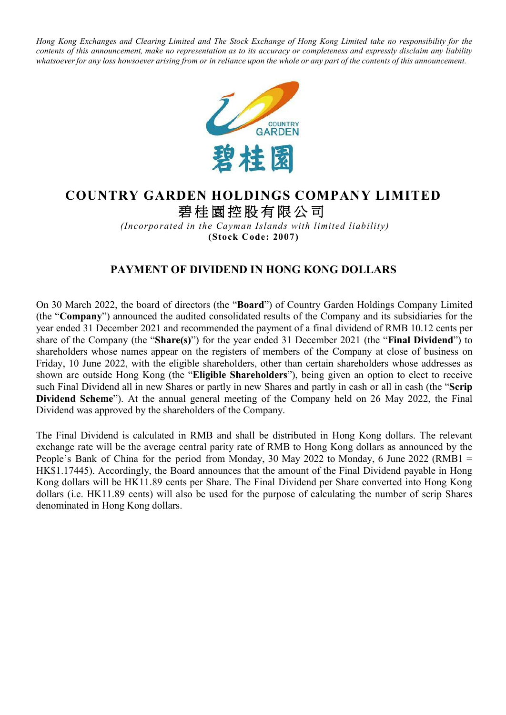Hong Kong Exchanges and Clearing Limited and The Stock Exchange of Hong Kong Limited take no responsibility for the contents of this announcement, make no representation as to its accuracy or completeness and expressly disclaim any liability whatsoever for any loss howsoever arising from or in reliance upon the whole or any part of the contents of this announcement.



## **COUNTRY GARDEN HOLDINGS COMPANY LIMITED** 碧桂園控股有限公司

*(Incorporated in the Cayman Islands with limited liability)* **(Stock Code: 2007)**

## **PAYMENT OF DIVIDEND IN HONG KONG DOLLARS**

On 30 March 2022, the board of directors (the "**Board**") of Country Garden Holdings Company Limited (the "**Company**") announced the audited consolidated results of the Company and its subsidiaries for the year ended 31 December 2021 and recommended the payment of a final dividend of RMB 10.12 cents per share of the Company (the "**Share(s)**") for the year ended 31 December 2021 (the "**Final Dividend**") to shareholders whose names appear on the registers of members of the Company at close of business on Friday, 10 June 2022, with the eligible shareholders, other than certain shareholders whose addresses as shown are outside Hong Kong (the "**Eligible Shareholders**"), being given an option to elect to receive such Final Dividend all in new Shares or partly in new Shares and partly in cash or all in cash (the "**Scrip Dividend Scheme**"). At the annual general meeting of the Company held on 26 May 2022, the Final Dividend was approved by the shareholders of the Company.

The Final Dividend is calculated in RMB and shall be distributed in Hong Kong dollars. The relevant exchange rate will be the average central parity rate of RMB to Hong Kong dollars as announced by the People's Bank of China for the period from Monday, 30 May 2022 to Monday, 6 June 2022 (RMB1 = HK\$1.17445). Accordingly, the Board announces that the amount of the Final Dividend payable in Hong Kong dollars will be HK11.89 cents per Share. The Final Dividend per Share converted into Hong Kong dollars (i.e. HK11.89 cents) will also be used for the purpose of calculating the number of scrip Shares denominated in Hong Kong dollars.